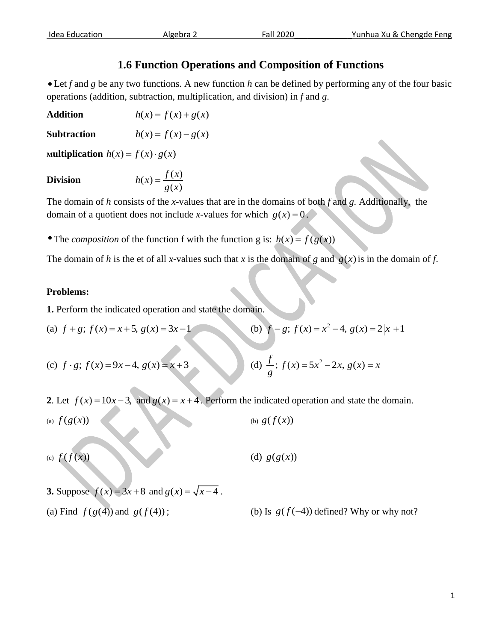## **1.6 Function Operations and Composition of Functions**

 Let *f* and *g* be any two functions. A new function *h* can be defined by performing any of the four basic operations (addition, subtraction, multiplication, and division) in *f* and *g*.

**Addition**  $h(x) = f(x) + g(x)$ 

**Subtraction**  $h(x) = f(x) - g(x)$ 

**Multiplication**  $h(x) = f(x) \cdot g(x)$ 

## **Division**

$$
h(x) = \frac{f(x)}{g(x)}
$$

The domain of *h* consists of the *x*-values that are in the domains of both *f* and *g.* Additionally, the domain of a quotient does not include *x*-values for which  $g(x) = 0$ .

• The *composition* of the function f with the function g is:  $h(x) = f(g(x))$ 

The domain of *h* is the et of all *x*-values such that *x* is the domain of *g* and  $g(x)$  is in the domain of *f*.

## **Problems:**

**1.** Perform the indicated operation and state the domain.

(a) 
$$
f+g
$$
;  $f(x) = x+5$ ,  $g(x) = 3x-1$   
(b)  $f-g$ ;  $f(x) = x^2-4$ ,  $g(x) = 2|x|+1$ 

(c) 
$$
f \cdot g
$$
;  $f(x) = 9x - 4$ ,  $g(x) = x + 3$   
(d)  $\frac{f}{g}$ ;  $f(x) = 5x^2 - 2x$ ,  $g(x) = x$ 

2. Let  $f(x) = 10x - 3$ , and  $g(x) = x + 4$ . Perform the indicated operation and state the domain.

(a)  $f(g(x))$ (b)  $g(f(x))$ (c)  $f(f(x))$ (d)  $g(g(x))$ 

**3.** Suppose  $f(x) = 3x + 8$  and  $g(x) = \sqrt{x-4}$ .

(a) Find  $f(g(4))$  and  $g(f(4))$ 

 $;$  (b) Is  $g(f(-4))$  defined? Why or why not?